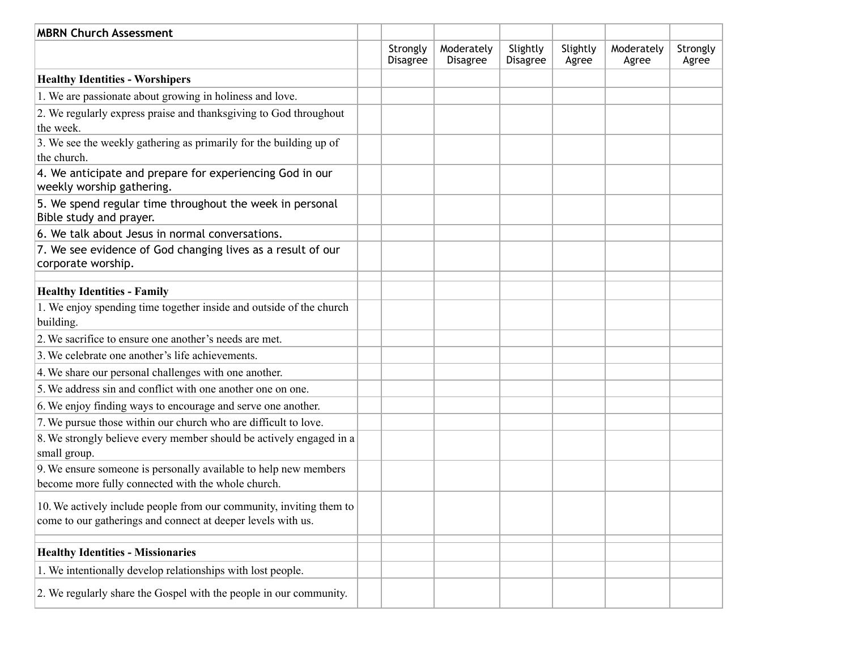| <b>MBRN Church Assessment</b>                                                                                                       |                             |                               |                             |                   |                     |                   |
|-------------------------------------------------------------------------------------------------------------------------------------|-----------------------------|-------------------------------|-----------------------------|-------------------|---------------------|-------------------|
|                                                                                                                                     | Strongly<br><b>Disagree</b> | Moderately<br><b>Disagree</b> | Slightly<br><b>Disagree</b> | Slightly<br>Agree | Moderately<br>Agree | Strongly<br>Agree |
| <b>Healthy Identities - Worshipers</b>                                                                                              |                             |                               |                             |                   |                     |                   |
| 1. We are passionate about growing in holiness and love.                                                                            |                             |                               |                             |                   |                     |                   |
| 2. We regularly express praise and thanksgiving to God throughout<br>the week.                                                      |                             |                               |                             |                   |                     |                   |
| 3. We see the weekly gathering as primarily for the building up of<br>the church.                                                   |                             |                               |                             |                   |                     |                   |
| 4. We anticipate and prepare for experiencing God in our<br>weekly worship gathering.                                               |                             |                               |                             |                   |                     |                   |
| 5. We spend regular time throughout the week in personal<br>Bible study and prayer.                                                 |                             |                               |                             |                   |                     |                   |
| 6. We talk about Jesus in normal conversations.                                                                                     |                             |                               |                             |                   |                     |                   |
| 7. We see evidence of God changing lives as a result of our<br>corporate worship.                                                   |                             |                               |                             |                   |                     |                   |
| <b>Healthy Identities - Family</b>                                                                                                  |                             |                               |                             |                   |                     |                   |
| 1. We enjoy spending time together inside and outside of the church<br>building.                                                    |                             |                               |                             |                   |                     |                   |
| 2. We sacrifice to ensure one another's needs are met.                                                                              |                             |                               |                             |                   |                     |                   |
| 3. We celebrate one another's life achievements.                                                                                    |                             |                               |                             |                   |                     |                   |
| 4. We share our personal challenges with one another.                                                                               |                             |                               |                             |                   |                     |                   |
| 5. We address sin and conflict with one another one on one.                                                                         |                             |                               |                             |                   |                     |                   |
| 6. We enjoy finding ways to encourage and serve one another.                                                                        |                             |                               |                             |                   |                     |                   |
| 7. We pursue those within our church who are difficult to love.                                                                     |                             |                               |                             |                   |                     |                   |
| 8. We strongly believe every member should be actively engaged in a<br>small group.                                                 |                             |                               |                             |                   |                     |                   |
| 9. We ensure someone is personally available to help new members<br>become more fully connected with the whole church.              |                             |                               |                             |                   |                     |                   |
| 10. We actively include people from our community, inviting them to<br>come to our gatherings and connect at deeper levels with us. |                             |                               |                             |                   |                     |                   |
| <b>Healthy Identities - Missionaries</b>                                                                                            |                             |                               |                             |                   |                     |                   |
| 1. We intentionally develop relationships with lost people.                                                                         |                             |                               |                             |                   |                     |                   |
| 2. We regularly share the Gospel with the people in our community.                                                                  |                             |                               |                             |                   |                     |                   |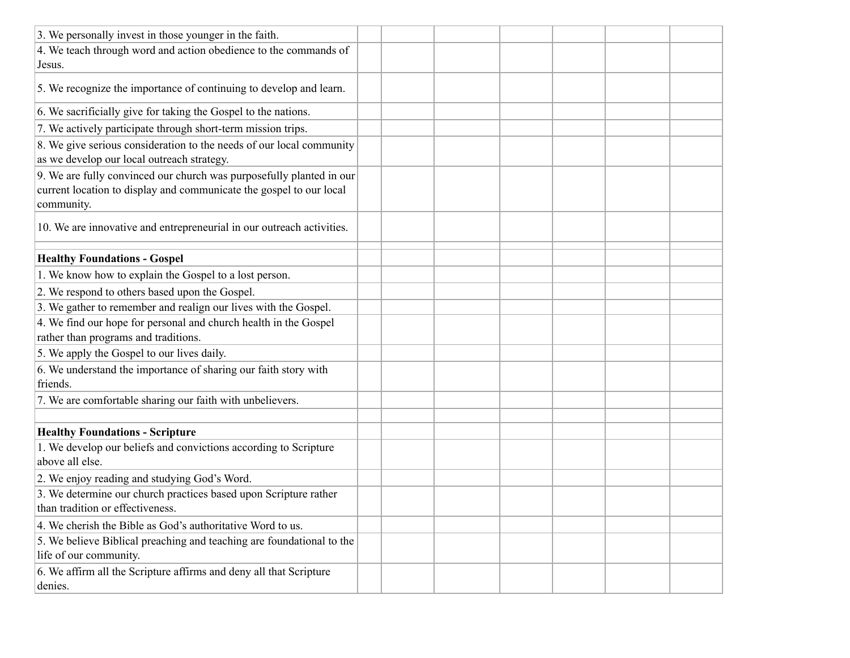| 3. We personally invest in those younger in the faith.                                                                                                    |  |  |  |  |
|-----------------------------------------------------------------------------------------------------------------------------------------------------------|--|--|--|--|
| 4. We teach through word and action obedience to the commands of<br>Jesus.                                                                                |  |  |  |  |
| 5. We recognize the importance of continuing to develop and learn.                                                                                        |  |  |  |  |
| 6. We sacrificially give for taking the Gospel to the nations.                                                                                            |  |  |  |  |
| 7. We actively participate through short-term mission trips.                                                                                              |  |  |  |  |
| 8. We give serious consideration to the needs of our local community<br>as we develop our local outreach strategy.                                        |  |  |  |  |
| 9. We are fully convinced our church was purposefully planted in our<br>current location to display and communicate the gospel to our local<br>community. |  |  |  |  |
| 10. We are innovative and entrepreneurial in our outreach activities.                                                                                     |  |  |  |  |
| <b>Healthy Foundations - Gospel</b>                                                                                                                       |  |  |  |  |
| 1. We know how to explain the Gospel to a lost person.                                                                                                    |  |  |  |  |
| 2. We respond to others based upon the Gospel.                                                                                                            |  |  |  |  |
| 3. We gather to remember and realign our lives with the Gospel.                                                                                           |  |  |  |  |
| 4. We find our hope for personal and church health in the Gospel<br>rather than programs and traditions.                                                  |  |  |  |  |
| 5. We apply the Gospel to our lives daily.                                                                                                                |  |  |  |  |
| 6. We understand the importance of sharing our faith story with<br>friends.                                                                               |  |  |  |  |
| 7. We are comfortable sharing our faith with unbelievers.                                                                                                 |  |  |  |  |
|                                                                                                                                                           |  |  |  |  |
| <b>Healthy Foundations - Scripture</b>                                                                                                                    |  |  |  |  |
| 1. We develop our beliefs and convictions according to Scripture<br>above all else.                                                                       |  |  |  |  |
| 2. We enjoy reading and studying God's Word.                                                                                                              |  |  |  |  |
| 3. We determine our church practices based upon Scripture rather<br>than tradition or effectiveness.                                                      |  |  |  |  |
| 4. We cherish the Bible as God's authoritative Word to us.                                                                                                |  |  |  |  |
| 5. We believe Biblical preaching and teaching are foundational to the<br>life of our community.                                                           |  |  |  |  |
| 6. We affirm all the Scripture affirms and deny all that Scripture<br>denies.                                                                             |  |  |  |  |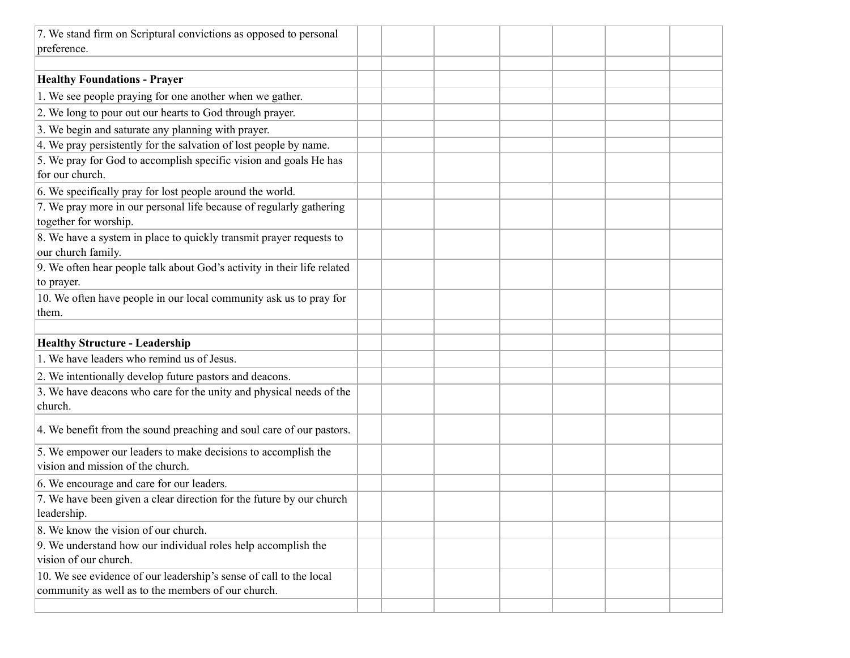| 7. We stand firm on Scriptural convictions as opposed to personal                                                        |  |  |  |  |
|--------------------------------------------------------------------------------------------------------------------------|--|--|--|--|
| preference.                                                                                                              |  |  |  |  |
|                                                                                                                          |  |  |  |  |
| <b>Healthy Foundations - Prayer</b>                                                                                      |  |  |  |  |
| 1. We see people praying for one another when we gather.                                                                 |  |  |  |  |
| 2. We long to pour out our hearts to God through prayer.                                                                 |  |  |  |  |
| 3. We begin and saturate any planning with prayer.                                                                       |  |  |  |  |
| 4. We pray persistently for the salvation of lost people by name.                                                        |  |  |  |  |
| 5. We pray for God to accomplish specific vision and goals He has<br>for our church.                                     |  |  |  |  |
| 6. We specifically pray for lost people around the world.                                                                |  |  |  |  |
| 7. We pray more in our personal life because of regularly gathering<br>together for worship.                             |  |  |  |  |
| 8. We have a system in place to quickly transmit prayer requests to<br>our church family.                                |  |  |  |  |
| 9. We often hear people talk about God's activity in their life related<br>to prayer.                                    |  |  |  |  |
| 10. We often have people in our local community ask us to pray for<br>them.                                              |  |  |  |  |
|                                                                                                                          |  |  |  |  |
| <b>Healthy Structure - Leadership</b>                                                                                    |  |  |  |  |
| 1. We have leaders who remind us of Jesus.                                                                               |  |  |  |  |
| 2. We intentionally develop future pastors and deacons.                                                                  |  |  |  |  |
| 3. We have deacons who care for the unity and physical needs of the<br>church.                                           |  |  |  |  |
| 4. We benefit from the sound preaching and soul care of our pastors.                                                     |  |  |  |  |
| 5. We empower our leaders to make decisions to accomplish the<br>vision and mission of the church.                       |  |  |  |  |
| 6. We encourage and care for our leaders.                                                                                |  |  |  |  |
| 7. We have been given a clear direction for the future by our church<br>leadership.                                      |  |  |  |  |
| 8. We know the vision of our church.                                                                                     |  |  |  |  |
| 9. We understand how our individual roles help accomplish the<br>vision of our church.                                   |  |  |  |  |
| 10. We see evidence of our leadership's sense of call to the local<br>community as well as to the members of our church. |  |  |  |  |
|                                                                                                                          |  |  |  |  |